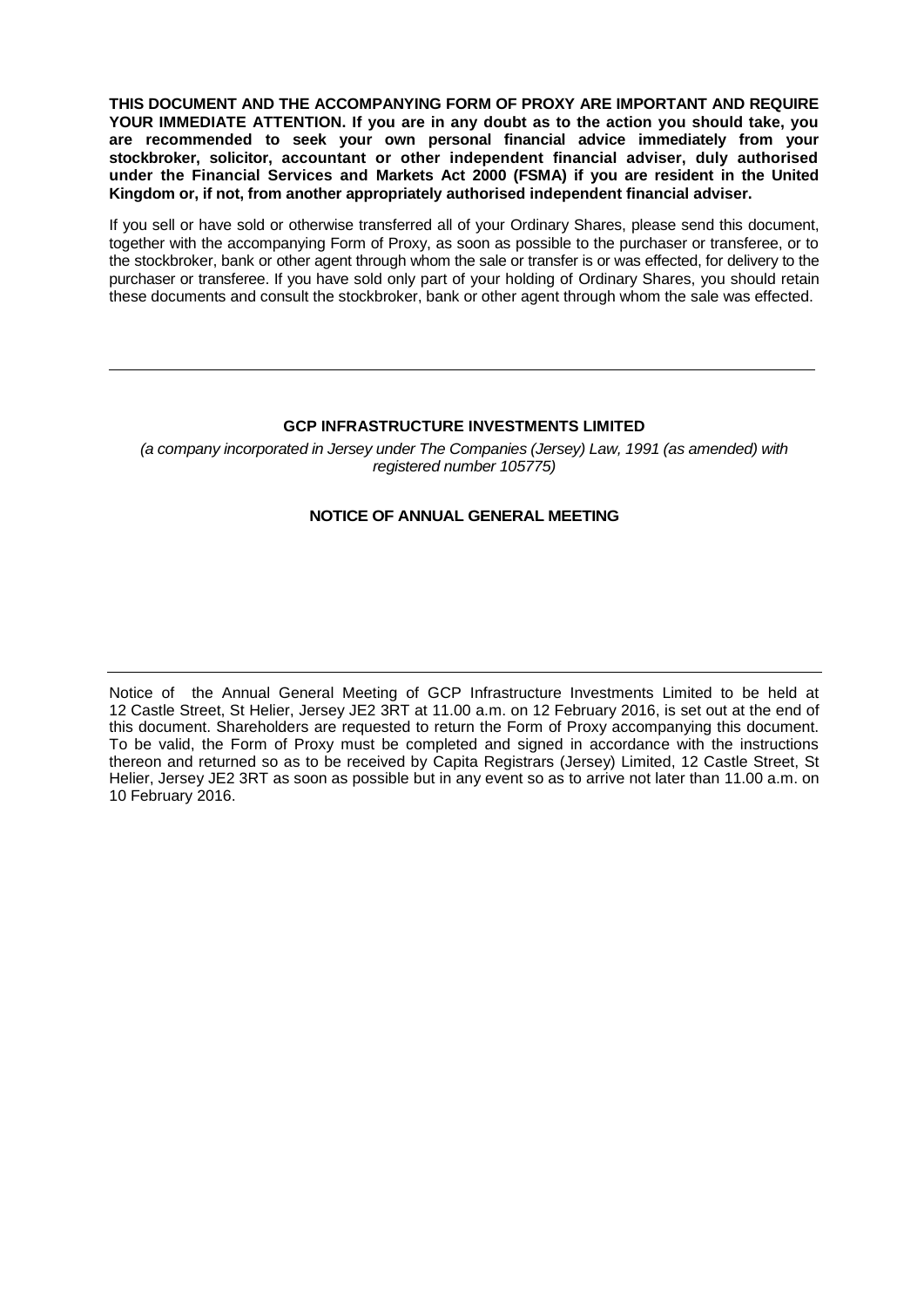**THIS DOCUMENT AND THE ACCOMPANYING FORM OF PROXY ARE IMPORTANT AND REQUIRE YOUR IMMEDIATE ATTENTION. If you are in any doubt as to the action you should take, you are recommended to seek your own personal financial advice immediately from your stockbroker, solicitor, accountant or other independent financial adviser, duly authorised under the Financial Services and Markets Act 2000 (FSMA) if you are resident in the United Kingdom or, if not, from another appropriately authorised independent financial adviser.**

If you sell or have sold or otherwise transferred all of your Ordinary Shares, please send this document, together with the accompanying Form of Proxy, as soon as possible to the purchaser or transferee, or to the stockbroker, bank or other agent through whom the sale or transfer is or was effected, for delivery to the purchaser or transferee. If you have sold only part of your holding of Ordinary Shares, you should retain these documents and consult the stockbroker, bank or other agent through whom the sale was effected.

# **GCP INFRASTRUCTURE INVESTMENTS LIMITED**

*(a company incorporated in Jersey under The Companies (Jersey) Law, 1991 (as amended) with registered number 105775)*

# **NOTICE OF ANNUAL GENERAL MEETING**

Notice of the Annual General Meeting of GCP Infrastructure Investments Limited to be held at 12 Castle Street, St Helier, Jersey JE2 3RT at 11.00 a.m. on 12 February 2016, is set out at the end of this document. Shareholders are requested to return the Form of Proxy accompanying this document. To be valid, the Form of Proxy must be completed and signed in accordance with the instructions thereon and returned so as to be received by Capita Registrars (Jersey) Limited, 12 Castle Street, St Helier, Jersey JE2 3RT as soon as possible but in any event so as to arrive not later than 11.00 a.m. on 10 February 2016.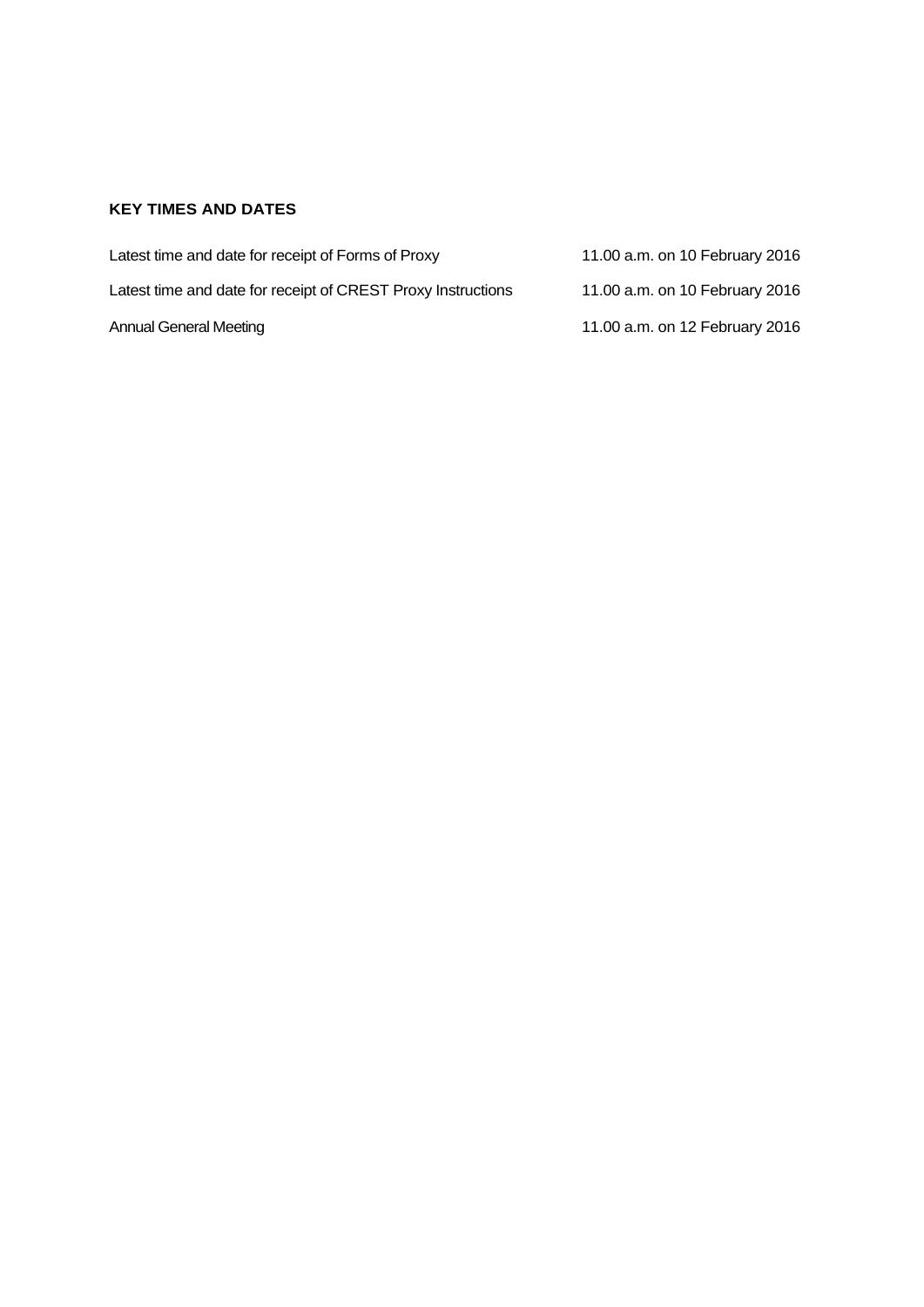# **KEY TIMES AND DATES**

| Latest time and date for receipt of Forms of Proxy           | 11.00 a.m. on 10 February 2016 |
|--------------------------------------------------------------|--------------------------------|
| Latest time and date for receipt of CREST Proxy Instructions | 11.00 a.m. on 10 February 2016 |
| Annual General Meeting                                       | 11.00 a.m. on 12 February 2016 |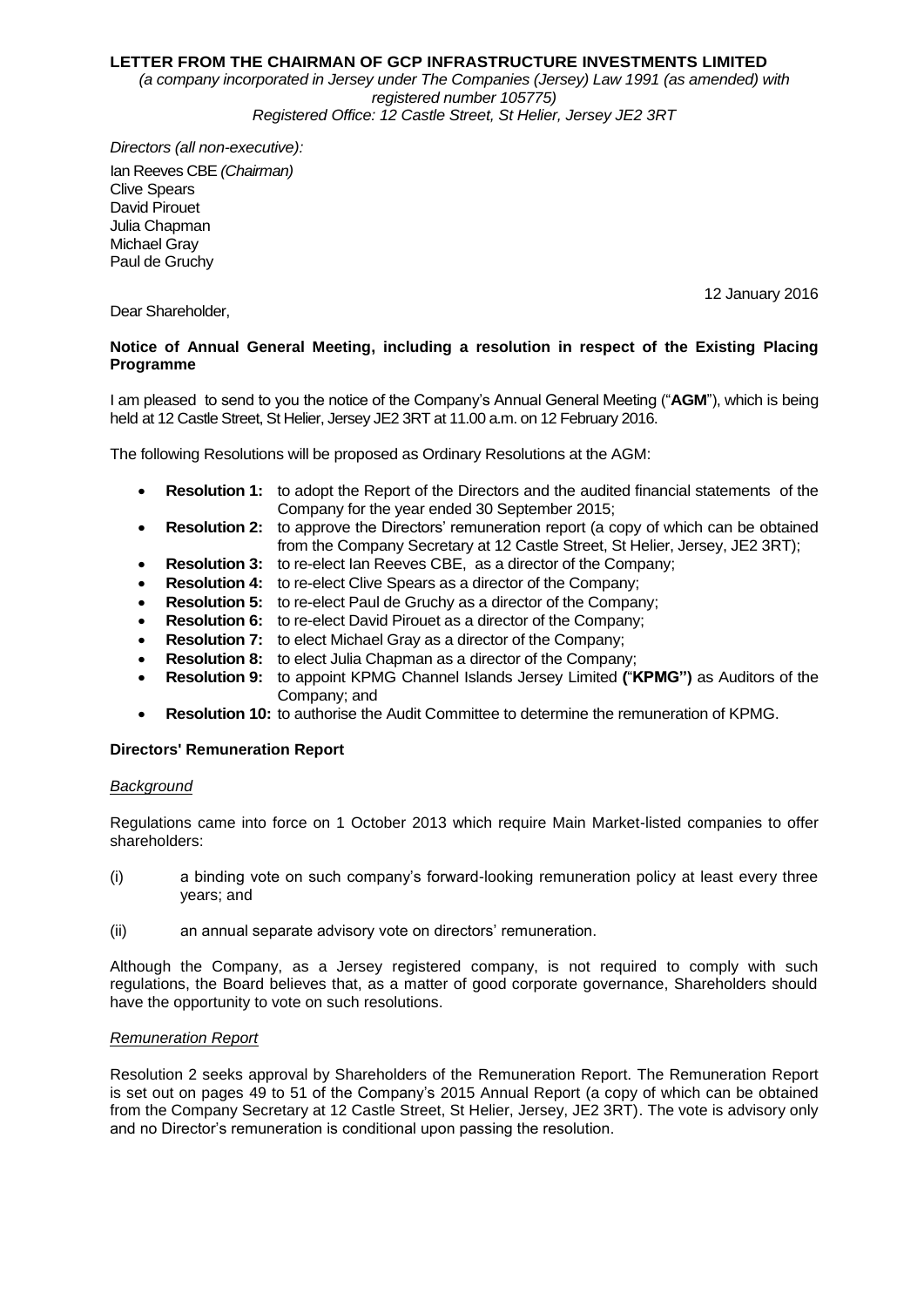# **LETTER FROM THE CHAIRMAN OF GCP INFRASTRUCTURE INVESTMENTS LIMITED**

*(a company incorporated in Jersey under The Companies (Jersey) Law 1991 (as amended) with registered number 105775) Registered Office: 12 Castle Street, St Helier, Jersey JE2 3RT*

*Directors (all non-executive):* Ian Reeves CBE *(Chairman)*  Clive Spears David Pirouet Julia Chapman Michael Gray Paul de Gruchy

12 January 2016

# Dear Shareholder,

# **Notice of Annual General Meeting, including a resolution in respect of the Existing Placing Programme**

I am pleased to send to you the notice of the Company's Annual General Meeting ("**AGM**"), which is being held at 12 Castle Street, St Helier, Jersey JE2 3RT at 11.00 a.m. on 12 February 2016.

The following Resolutions will be proposed as Ordinary Resolutions at the AGM:

- **Resolution 1:** to adopt the Report of the Directors and the audited financial statements of the Company for the year ended 30 September 2015;
- **Resolution 2:** to approve the Directors' remuneration report (a copy of which can be obtained from the Company Secretary at 12 Castle Street, St Helier, Jersey, JE2 3RT);
- **Resolution 3:** to re-elect Ian Reeves CBE, as a director of the Company;
- **Resolution 4:** to re-elect Clive Spears as a director of the Company;
- **Resolution 5:** to re-elect Paul de Gruchy as a director of the Company;
- **Resolution 6:** to re-elect David Pirouet as a director of the Company;
- **Resolution 7:** to elect Michael Gray as a director of the Company;
- **Resolution 8:** to elect Julia Chapman as a director of the Company;
- **Resolution 9:** to appoint KPMG Channel Islands Jersey Limited **(**"**KPMG")** as Auditors of the Company; and
- **Resolution 10:** to authorise the Audit Committee to determine the remuneration of KPMG.

# **Directors' Remuneration Report**

# *Background*

Regulations came into force on 1 October 2013 which require Main Market-listed companies to offer shareholders:

- (i) a binding vote on such company's forward-looking remuneration policy at least every three years; and
- (ii) an annual separate advisory vote on directors' remuneration.

Although the Company, as a Jersey registered company, is not required to comply with such regulations, the Board believes that, as a matter of good corporate governance, Shareholders should have the opportunity to vote on such resolutions.

# *Remuneration Report*

Resolution 2 seeks approval by Shareholders of the Remuneration Report. The Remuneration Report is set out on pages 49 to 51 of the Company's 2015 Annual Report (a copy of which can be obtained from the Company Secretary at 12 Castle Street, St Helier, Jersey, JE2 3RT). The vote is advisory only and no Director's remuneration is conditional upon passing the resolution.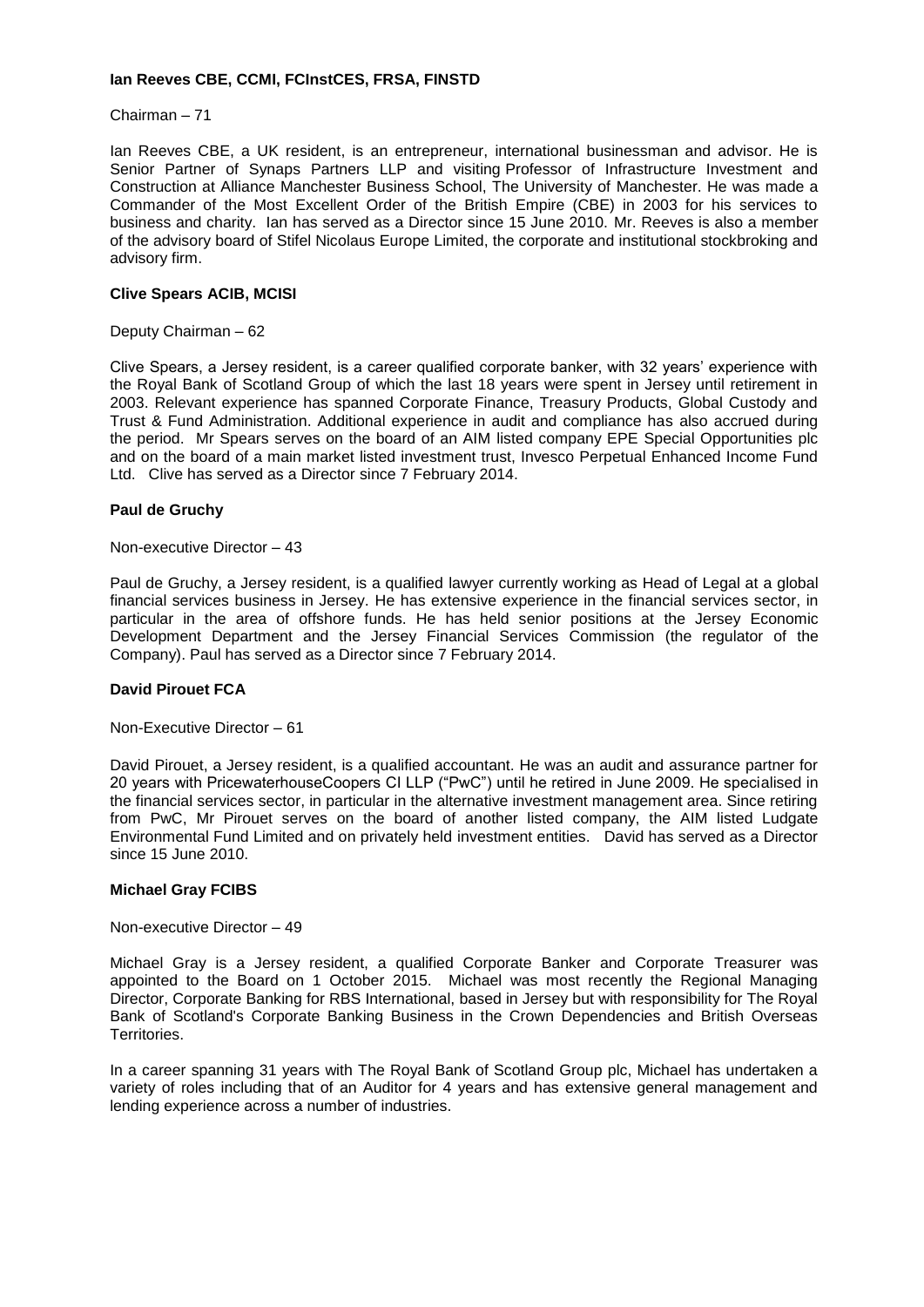# **Ian Reeves CBE, CCMI, FCInstCES, FRSA, FINSTD**

Chairman – 71

Ian Reeves CBE, a UK resident, is an entrepreneur, international businessman and advisor. He is Senior Partner of Synaps Partners LLP and visiting Professor of Infrastructure Investment and Construction at Alliance Manchester Business School, The University of Manchester. He was made a Commander of the Most Excellent Order of the British Empire (CBE) in 2003 for his services to business and charity. Ian has served as a Director since 15 June 2010. Mr. Reeves is also a member of the advisory board of Stifel Nicolaus Europe Limited, the corporate and institutional stockbroking and advisory firm.

# **Clive Spears ACIB, MCISI**

Deputy Chairman – 62

Clive Spears, a Jersey resident, is a career qualified corporate banker, with 32 years' experience with the Royal Bank of Scotland Group of which the last 18 years were spent in Jersey until retirement in 2003. Relevant experience has spanned Corporate Finance, Treasury Products, Global Custody and Trust & Fund Administration. Additional experience in audit and compliance has also accrued during the period. Mr Spears serves on the board of an AIM listed company EPE Special Opportunities plc and on the board of a main market listed investment trust, Invesco Perpetual Enhanced Income Fund Ltd. Clive has served as a Director since 7 February 2014.

# **Paul de Gruchy**

Non-executive Director – 43

Paul de Gruchy, a Jersey resident, is a qualified lawyer currently working as Head of Legal at a global financial services business in Jersey. He has extensive experience in the financial services sector, in particular in the area of offshore funds. He has held senior positions at the Jersey Economic Development Department and the Jersey Financial Services Commission (the regulator of the Company). Paul has served as a Director since 7 February 2014.

# **David Pirouet FCA**

Non-Executive Director – 61

David Pirouet, a Jersey resident, is a qualified accountant. He was an audit and assurance partner for 20 years with PricewaterhouseCoopers CI LLP ("PwC") until he retired in June 2009. He specialised in the financial services sector, in particular in the alternative investment management area. Since retiring from PwC, Mr Pirouet serves on the board of another listed company, the AIM listed Ludgate Environmental Fund Limited and on privately held investment entities. David has served as a Director since 15 June 2010.

# **Michael Gray FCIBS**

Non-executive Director – 49

Michael Gray is a Jersey resident, a qualified Corporate Banker and Corporate Treasurer was appointed to the Board on 1 October 2015. Michael was most recently the Regional Managing Director, Corporate Banking for RBS International, based in Jersey but with responsibility for The Royal Bank of Scotland's Corporate Banking Business in the Crown Dependencies and British Overseas Territories.

In a career spanning 31 years with The Royal Bank of Scotland Group plc, Michael has undertaken a variety of roles including that of an Auditor for 4 years and has extensive general management and lending experience across a number of industries.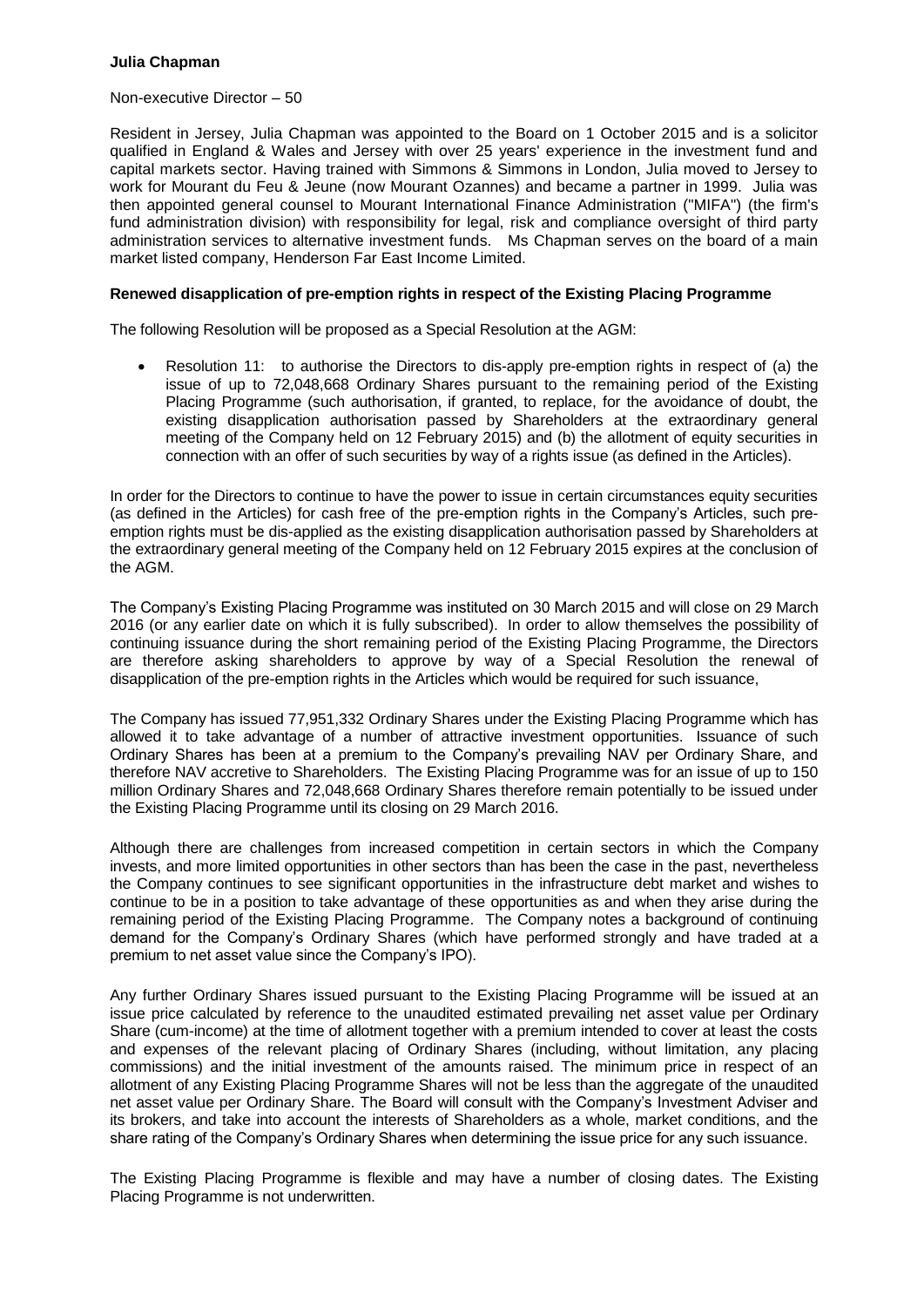# **Julia Chapman**

#### Non-executive Director – 50

Resident in Jersey, Julia Chapman was appointed to the Board on 1 October 2015 and is a solicitor qualified in England & Wales and Jersey with over 25 years' experience in the investment fund and capital markets sector. Having trained with Simmons & Simmons in London, Julia moved to Jersey to work for Mourant du Feu & Jeune (now Mourant Ozannes) and became a partner in 1999. Julia was then appointed general counsel to Mourant International Finance Administration ("MIFA") (the firm's fund administration division) with responsibility for legal, risk and compliance oversight of third party administration services to alternative investment funds. Ms Chapman serves on the board of a main market listed company, Henderson Far East Income Limited.

# **Renewed disapplication of pre-emption rights in respect of the Existing Placing Programme**

The following Resolution will be proposed as a Special Resolution at the AGM:

 Resolution 11: to authorise the Directors to dis-apply pre-emption rights in respect of (a) the issue of up to 72,048,668 Ordinary Shares pursuant to the remaining period of the Existing Placing Programme (such authorisation, if granted, to replace, for the avoidance of doubt, the existing disapplication authorisation passed by Shareholders at the extraordinary general meeting of the Company held on 12 February 2015) and (b) the allotment of equity securities in connection with an offer of such securities by way of a rights issue (as defined in the Articles).

In order for the Directors to continue to have the power to issue in certain circumstances equity securities (as defined in the Articles) for cash free of the pre-emption rights in the Company's Articles, such preemption rights must be dis-applied as the existing disapplication authorisation passed by Shareholders at the extraordinary general meeting of the Company held on 12 February 2015 expires at the conclusion of the AGM.

The Company's Existing Placing Programme was instituted on 30 March 2015 and will close on 29 March 2016 (or any earlier date on which it is fully subscribed). In order to allow themselves the possibility of continuing issuance during the short remaining period of the Existing Placing Programme, the Directors are therefore asking shareholders to approve by way of a Special Resolution the renewal of disapplication of the pre-emption rights in the Articles which would be required for such issuance,

The Company has issued 77,951,332 Ordinary Shares under the Existing Placing Programme which has allowed it to take advantage of a number of attractive investment opportunities. Issuance of such Ordinary Shares has been at a premium to the Company's prevailing NAV per Ordinary Share, and therefore NAV accretive to Shareholders. The Existing Placing Programme was for an issue of up to 150 million Ordinary Shares and 72,048,668 Ordinary Shares therefore remain potentially to be issued under the Existing Placing Programme until its closing on 29 March 2016.

Although there are challenges from increased competition in certain sectors in which the Company invests, and more limited opportunities in other sectors than has been the case in the past, nevertheless the Company continues to see significant opportunities in the infrastructure debt market and wishes to continue to be in a position to take advantage of these opportunities as and when they arise during the remaining period of the Existing Placing Programme. The Company notes a background of continuing demand for the Company's Ordinary Shares (which have performed strongly and have traded at a premium to net asset value since the Company's IPO).

Any further Ordinary Shares issued pursuant to the Existing Placing Programme will be issued at an issue price calculated by reference to the unaudited estimated prevailing net asset value per Ordinary Share (cum-income) at the time of allotment together with a premium intended to cover at least the costs and expenses of the relevant placing of Ordinary Shares (including, without limitation, any placing commissions) and the initial investment of the amounts raised. The minimum price in respect of an allotment of any Existing Placing Programme Shares will not be less than the aggregate of the unaudited net asset value per Ordinary Share. The Board will consult with the Company's Investment Adviser and its brokers, and take into account the interests of Shareholders as a whole, market conditions, and the share rating of the Company's Ordinary Shares when determining the issue price for any such issuance.

The Existing Placing Programme is flexible and may have a number of closing dates. The Existing Placing Programme is not underwritten.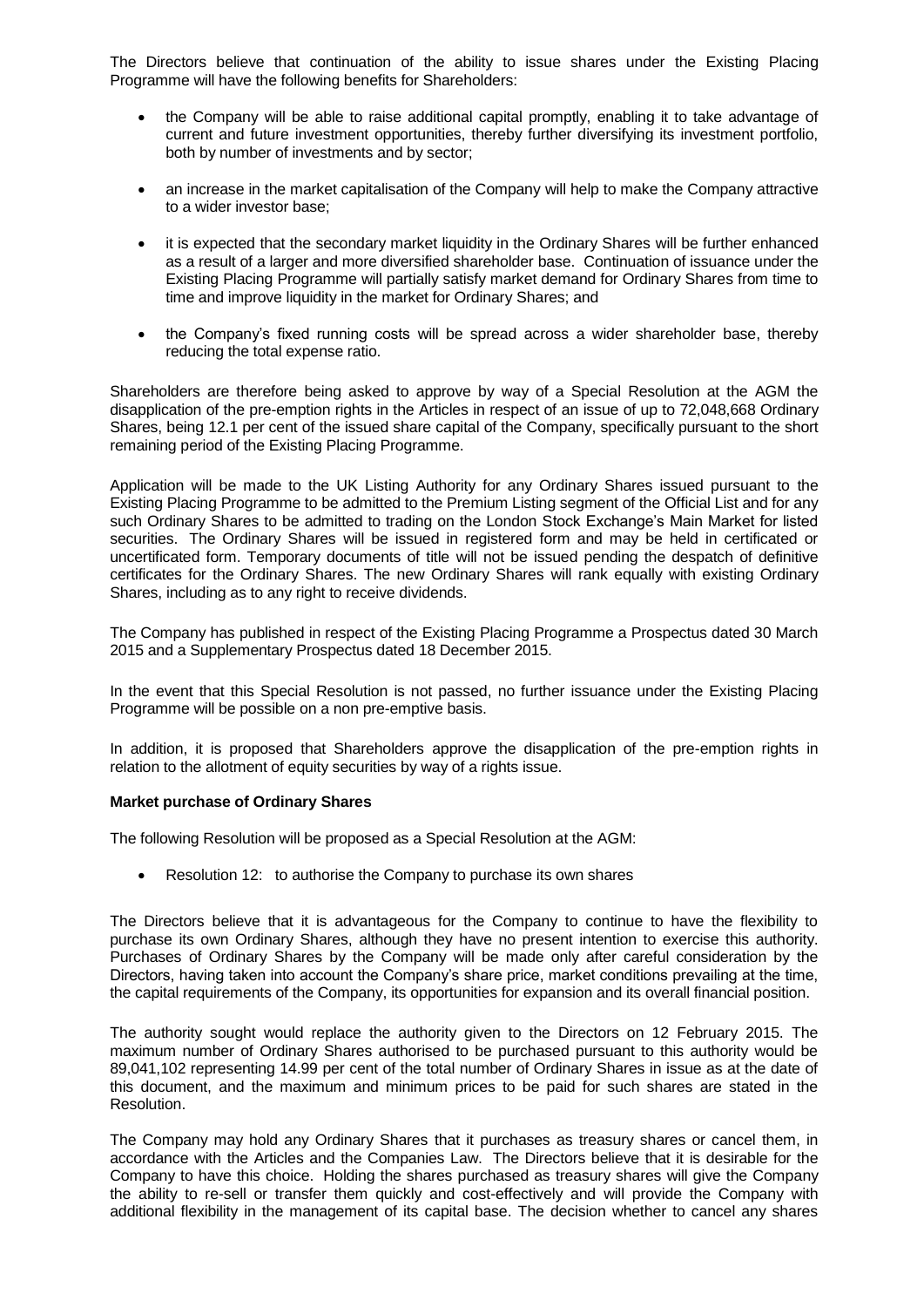The Directors believe that continuation of the ability to issue shares under the Existing Placing Programme will have the following benefits for Shareholders:

- the Company will be able to raise additional capital promptly, enabling it to take advantage of current and future investment opportunities, thereby further diversifying its investment portfolio, both by number of investments and by sector;
- an increase in the market capitalisation of the Company will help to make the Company attractive to a wider investor base;
- it is expected that the secondary market liquidity in the Ordinary Shares will be further enhanced as a result of a larger and more diversified shareholder base. Continuation of issuance under the Existing Placing Programme will partially satisfy market demand for Ordinary Shares from time to time and improve liquidity in the market for Ordinary Shares; and
- the Company's fixed running costs will be spread across a wider shareholder base, thereby reducing the total expense ratio.

Shareholders are therefore being asked to approve by way of a Special Resolution at the AGM the disapplication of the pre-emption rights in the Articles in respect of an issue of up to 72,048,668 Ordinary Shares, being 12.1 per cent of the issued share capital of the Company, specifically pursuant to the short remaining period of the Existing Placing Programme.

Application will be made to the UK Listing Authority for any Ordinary Shares issued pursuant to the Existing Placing Programme to be admitted to the Premium Listing segment of the Official List and for any such Ordinary Shares to be admitted to trading on the London Stock Exchange's Main Market for listed securities. The Ordinary Shares will be issued in registered form and may be held in certificated or uncertificated form. Temporary documents of title will not be issued pending the despatch of definitive certificates for the Ordinary Shares. The new Ordinary Shares will rank equally with existing Ordinary Shares, including as to any right to receive dividends.

The Company has published in respect of the Existing Placing Programme a Prospectus dated 30 March 2015 and a Supplementary Prospectus dated 18 December 2015.

In the event that this Special Resolution is not passed, no further issuance under the Existing Placing Programme will be possible on a non pre-emptive basis.

In addition, it is proposed that Shareholders approve the disapplication of the pre-emption rights in relation to the allotment of equity securities by way of a rights issue.

# **Market purchase of Ordinary Shares**

The following Resolution will be proposed as a Special Resolution at the AGM:

• Resolution 12: to authorise the Company to purchase its own shares

The Directors believe that it is advantageous for the Company to continue to have the flexibility to purchase its own Ordinary Shares, although they have no present intention to exercise this authority. Purchases of Ordinary Shares by the Company will be made only after careful consideration by the Directors, having taken into account the Company's share price, market conditions prevailing at the time, the capital requirements of the Company, its opportunities for expansion and its overall financial position.

The authority sought would replace the authority given to the Directors on 12 February 2015. The maximum number of Ordinary Shares authorised to be purchased pursuant to this authority would be 89,041,102 representing 14.99 per cent of the total number of Ordinary Shares in issue as at the date of this document, and the maximum and minimum prices to be paid for such shares are stated in the Resolution.

The Company may hold any Ordinary Shares that it purchases as treasury shares or cancel them, in accordance with the Articles and the Companies Law. The Directors believe that it is desirable for the Company to have this choice. Holding the shares purchased as treasury shares will give the Company the ability to re-sell or transfer them quickly and cost-effectively and will provide the Company with additional flexibility in the management of its capital base. The decision whether to cancel any shares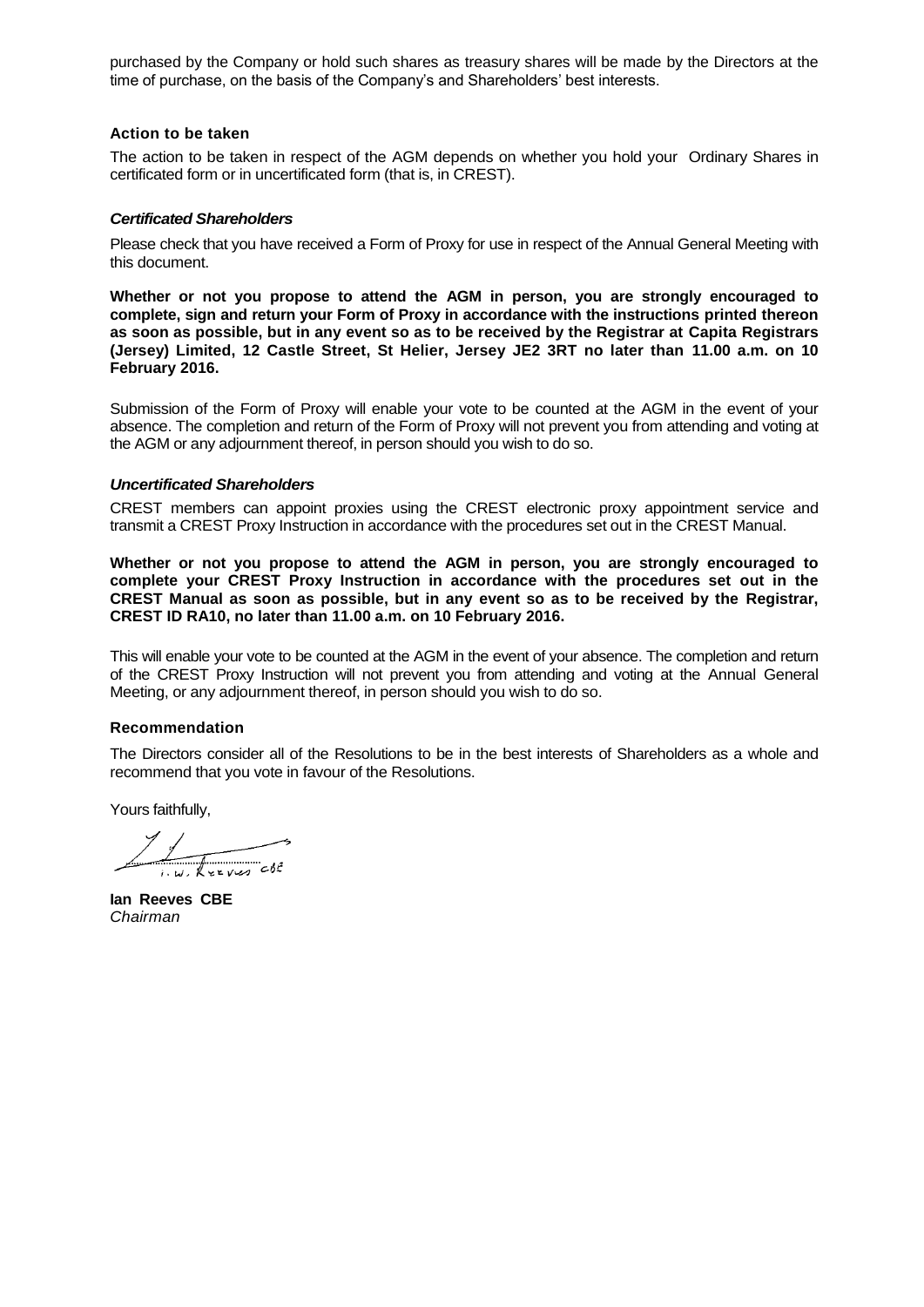purchased by the Company or hold such shares as treasury shares will be made by the Directors at the time of purchase, on the basis of the Company's and Shareholders' best interests.

#### **Action to be taken**

The action to be taken in respect of the AGM depends on whether you hold your Ordinary Shares in certificated form or in uncertificated form (that is, in CREST).

#### *Certificated Shareholders*

Please check that you have received a Form of Proxy for use in respect of the Annual General Meeting with this document.

**Whether or not you propose to attend the AGM in person, you are strongly encouraged to complete, sign and return your Form of Proxy in accordance with the instructions printed thereon as soon as possible, but in any event so as to be received by the Registrar at Capita Registrars (Jersey) Limited, 12 Castle Street, St Helier, Jersey JE2 3RT no later than 11.00 a.m. on 10 February 2016.**

Submission of the Form of Proxy will enable your vote to be counted at the AGM in the event of your absence. The completion and return of the Form of Proxy will not prevent you from attending and voting at the AGM or any adjournment thereof, in person should you wish to do so.

#### *Uncertificated Shareholders*

CREST members can appoint proxies using the CREST electronic proxy appointment service and transmit a CREST Proxy Instruction in accordance with the procedures set out in the CREST Manual.

**Whether or not you propose to attend the AGM in person, you are strongly encouraged to complete your CREST Proxy Instruction in accordance with the procedures set out in the CREST Manual as soon as possible, but in any event so as to be received by the Registrar, CREST ID RA10, no later than 11.00 a.m. on 10 February 2016.**

This will enable your vote to be counted at the AGM in the event of your absence. The completion and return of the CREST Proxy Instruction will not prevent you from attending and voting at the Annual General Meeting, or any adjournment thereof, in person should you wish to do so.

#### **Recommendation**

The Directors consider all of the Resolutions to be in the best interests of Shareholders as a whole and recommend that you vote in favour of the Resolutions.

Yours faithfully,

IN REEVES CBC

**Ian Reeves CBE** *Chairman*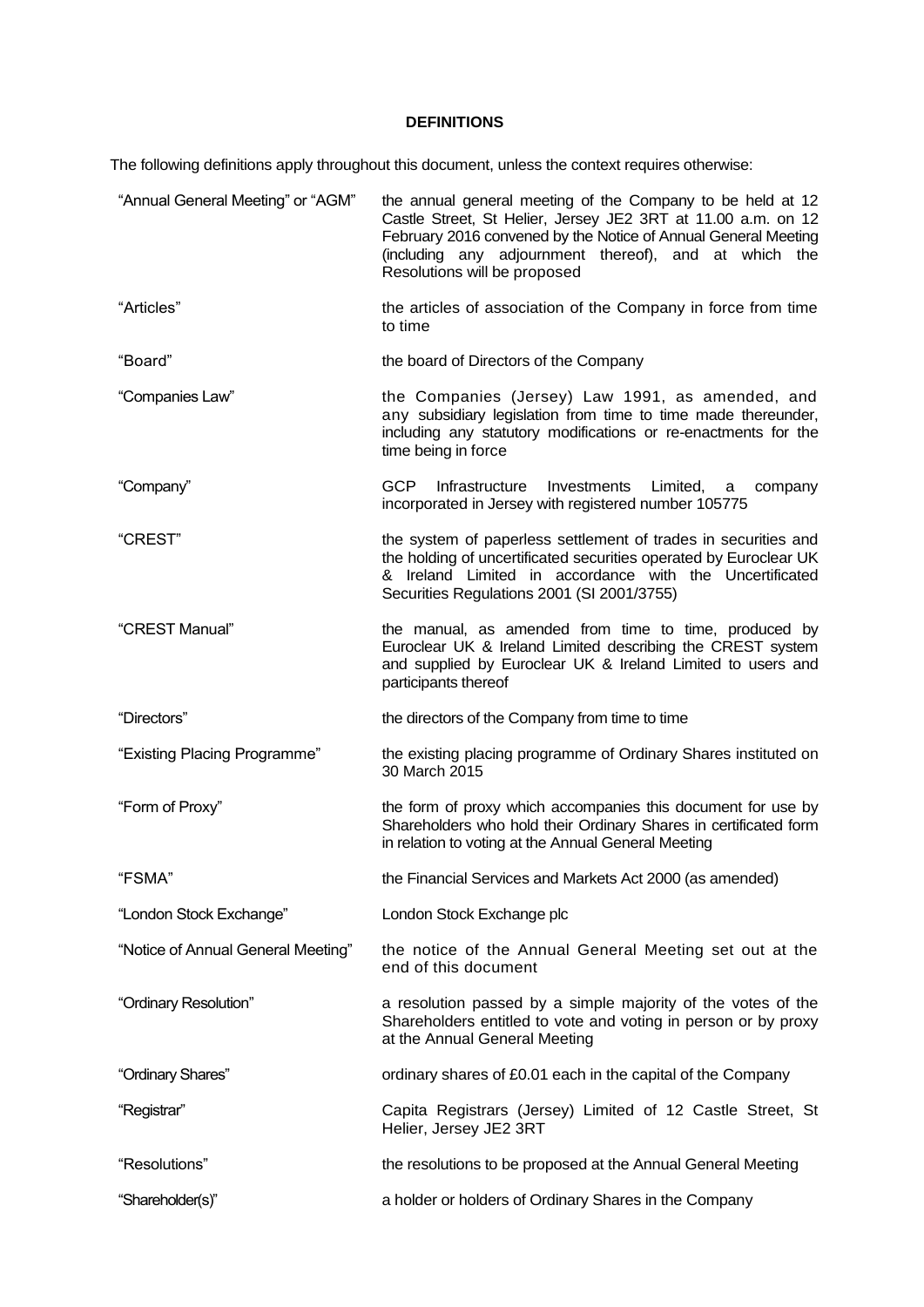# **DEFINITIONS**

The following definitions apply throughout this document, unless the context requires otherwise:

| "Annual General Meeting" or "AGM"  | the annual general meeting of the Company to be held at 12<br>Castle Street, St Helier, Jersey JE2 3RT at 11.00 a.m. on 12<br>February 2016 convened by the Notice of Annual General Meeting<br>(including any adjournment thereof), and at which the<br>Resolutions will be proposed |
|------------------------------------|---------------------------------------------------------------------------------------------------------------------------------------------------------------------------------------------------------------------------------------------------------------------------------------|
| "Articles"                         | the articles of association of the Company in force from time<br>to time                                                                                                                                                                                                              |
| "Board"                            | the board of Directors of the Company                                                                                                                                                                                                                                                 |
| "Companies Law"                    | the Companies (Jersey) Law 1991, as amended, and<br>any subsidiary legislation from time to time made thereunder,<br>including any statutory modifications or re-enactments for the<br>time being in force                                                                            |
| "Company"                          | <b>GCP</b><br>Infrastructure<br>Investments<br>Limited,<br>company<br>a<br>incorporated in Jersey with registered number 105775                                                                                                                                                       |
| "CREST"                            | the system of paperless settlement of trades in securities and<br>the holding of uncertificated securities operated by Euroclear UK<br>& Ireland Limited in accordance with the Uncertificated<br>Securities Regulations 2001 (SI 2001/3755)                                          |
| "CREST Manual"                     | the manual, as amended from time to time, produced by<br>Euroclear UK & Ireland Limited describing the CREST system<br>and supplied by Euroclear UK & Ireland Limited to users and<br>participants thereof                                                                            |
|                                    |                                                                                                                                                                                                                                                                                       |
| "Directors"                        | the directors of the Company from time to time                                                                                                                                                                                                                                        |
| "Existing Placing Programme"       | the existing placing programme of Ordinary Shares instituted on<br>30 March 2015                                                                                                                                                                                                      |
| "Form of Proxy"                    | the form of proxy which accompanies this document for use by<br>Shareholders who hold their Ordinary Shares in certificated form<br>in relation to voting at the Annual General Meeting                                                                                               |
| "FSMA"                             | the Financial Services and Markets Act 2000 (as amended)                                                                                                                                                                                                                              |
| "London Stock Exchange"            | London Stock Exchange plc                                                                                                                                                                                                                                                             |
| "Notice of Annual General Meeting" | the notice of the Annual General Meeting set out at the<br>end of this document                                                                                                                                                                                                       |
| "Ordinary Resolution"              | a resolution passed by a simple majority of the votes of the<br>Shareholders entitled to vote and voting in person or by proxy<br>at the Annual General Meeting                                                                                                                       |
| "Ordinary Shares"                  | ordinary shares of £0.01 each in the capital of the Company                                                                                                                                                                                                                           |
| "Registrar"                        | Capita Registrars (Jersey) Limited of 12 Castle Street, St<br>Helier, Jersey JE2 3RT                                                                                                                                                                                                  |
| "Resolutions"                      | the resolutions to be proposed at the Annual General Meeting                                                                                                                                                                                                                          |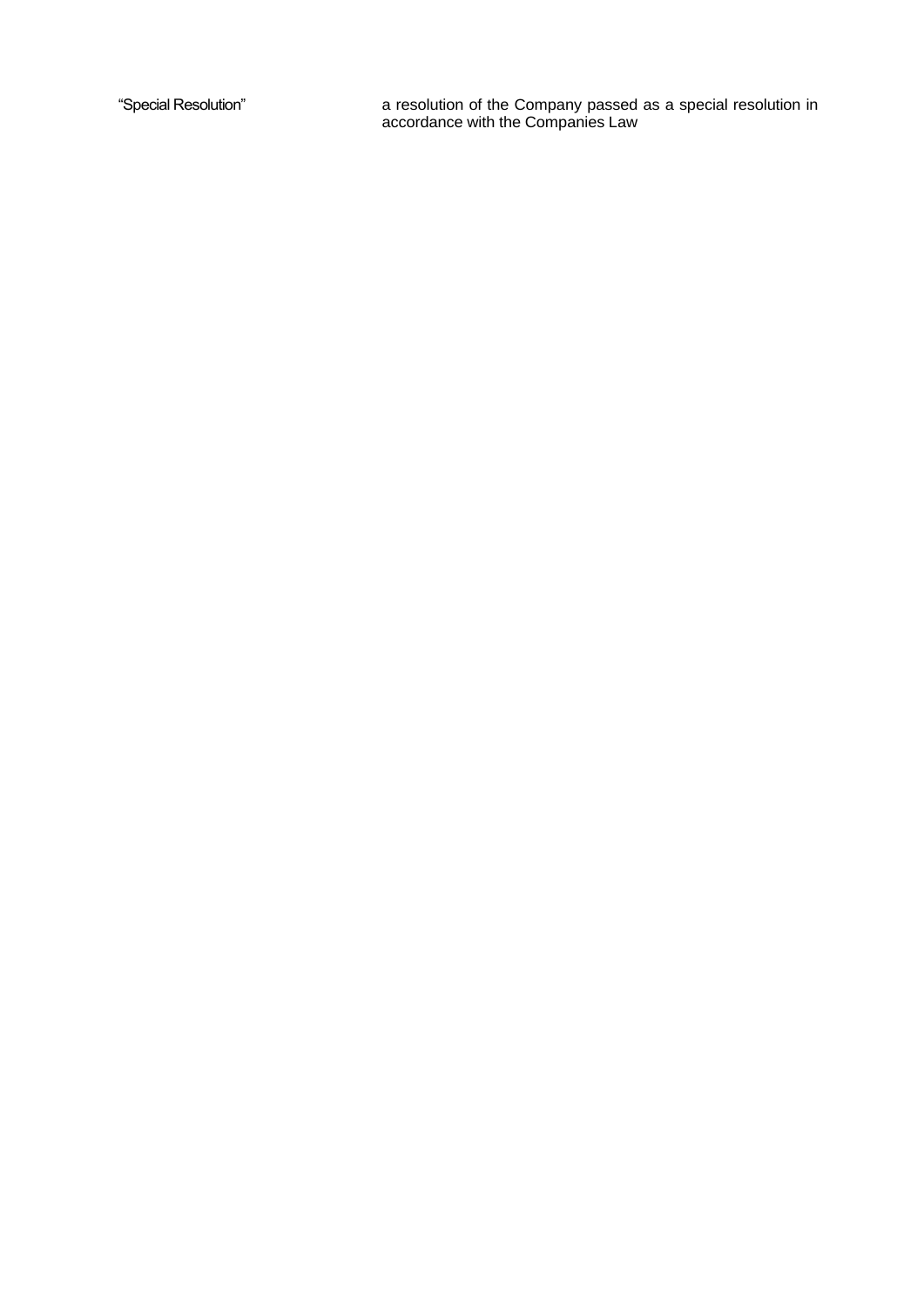"Special Resolution" a resolution of the Company passed as a special resolution in accordance with the Companies Law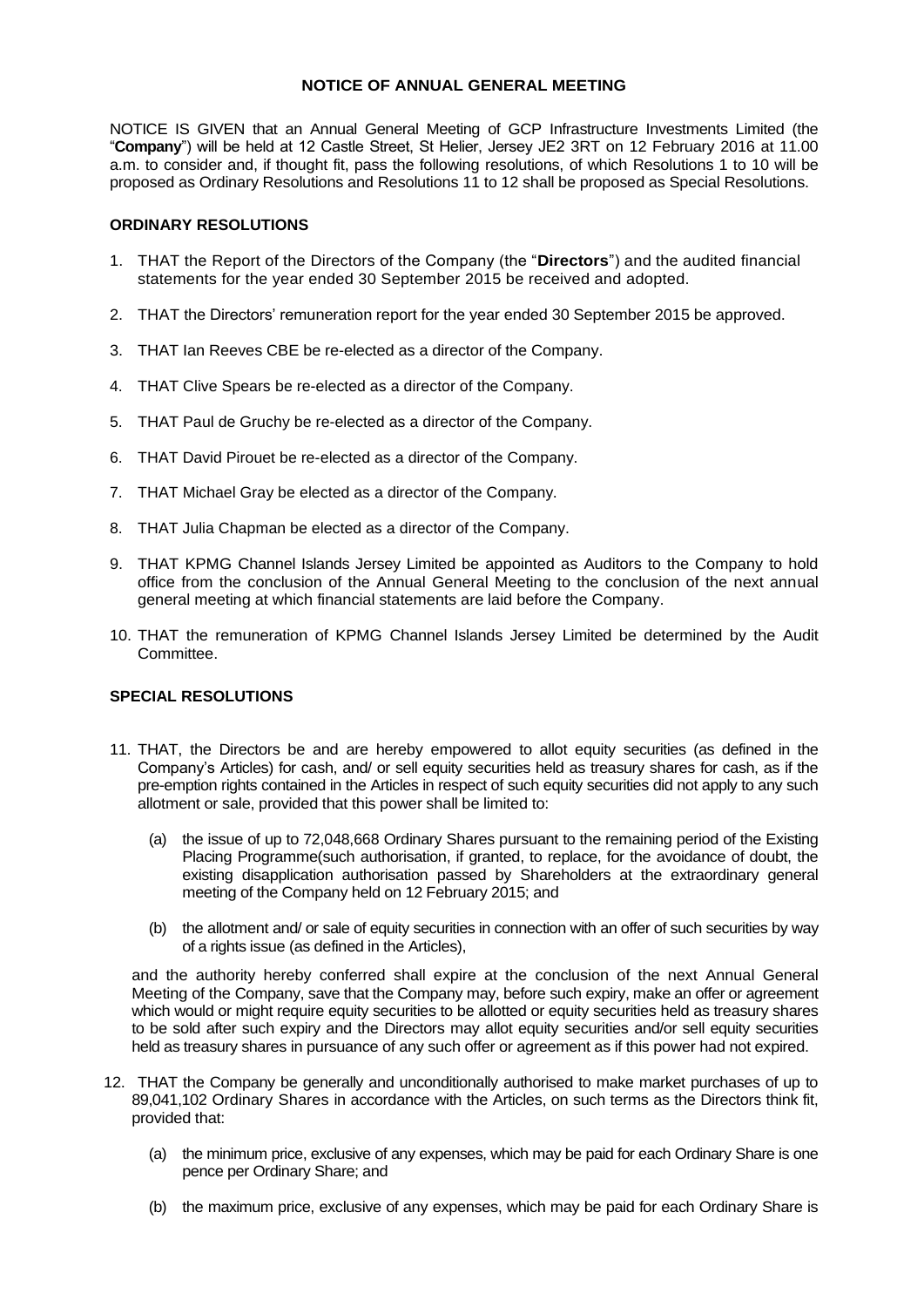# **NOTICE OF ANNUAL GENERAL MEETING**

NOTICE IS GIVEN that an Annual General Meeting of GCP Infrastructure Investments Limited (the "**Company**") will be held at 12 Castle Street, St Helier, Jersey JE2 3RT on 12 February 2016 at 11.00 a.m. to consider and, if thought fit, pass the following resolutions, of which Resolutions 1 to 10 will be proposed as Ordinary Resolutions and Resolutions 11 to 12 shall be proposed as Special Resolutions.

# **ORDINARY RESOLUTIONS**

- 1. THAT the Report of the Directors of the Company (the "**Directors**") and the audited financial statements for the year ended 30 September 2015 be received and adopted.
- 2. THAT the Directors' remuneration report for the year ended 30 September 2015 be approved.
- 3. THAT Ian Reeves CBE be re-elected as a director of the Company.
- 4. THAT Clive Spears be re-elected as a director of the Company.
- 5. THAT Paul de Gruchy be re-elected as a director of the Company.
- 6. THAT David Pirouet be re-elected as a director of the Company.
- 7. THAT Michael Gray be elected as a director of the Company.
- 8. THAT Julia Chapman be elected as a director of the Company.
- 9. THAT KPMG Channel Islands Jersey Limited be appointed as Auditors to the Company to hold office from the conclusion of the Annual General Meeting to the conclusion of the next annual general meeting at which financial statements are laid before the Company.
- 10. THAT the remuneration of KPMG Channel Islands Jersey Limited be determined by the Audit Committee.

# **SPECIAL RESOLUTIONS**

- 11. THAT, the Directors be and are hereby empowered to allot equity securities (as defined in the Company's Articles) for cash, and/ or sell equity securities held as treasury shares for cash, as if the pre-emption rights contained in the Articles in respect of such equity securities did not apply to any such allotment or sale, provided that this power shall be limited to:
	- (a) the issue of up to 72,048,668 Ordinary Shares pursuant to the remaining period of the Existing Placing Programme(such authorisation, if granted, to replace, for the avoidance of doubt, the existing disapplication authorisation passed by Shareholders at the extraordinary general meeting of the Company held on 12 February 2015; and
	- (b) the allotment and/ or sale of equity securities in connection with an offer of such securities by way of a rights issue (as defined in the Articles),

and the authority hereby conferred shall expire at the conclusion of the next Annual General Meeting of the Company, save that the Company may, before such expiry, make an offer or agreement which would or might require equity securities to be allotted or equity securities held as treasury shares to be sold after such expiry and the Directors may allot equity securities and/or sell equity securities held as treasury shares in pursuance of any such offer or agreement as if this power had not expired.

- 12. THAT the Company be generally and unconditionally authorised to make market purchases of up to 89,041,102 Ordinary Shares in accordance with the Articles, on such terms as the Directors think fit, provided that:
	- (a) the minimum price, exclusive of any expenses, which may be paid for each Ordinary Share is one pence per Ordinary Share; and
	- (b) the maximum price, exclusive of any expenses, which may be paid for each Ordinary Share is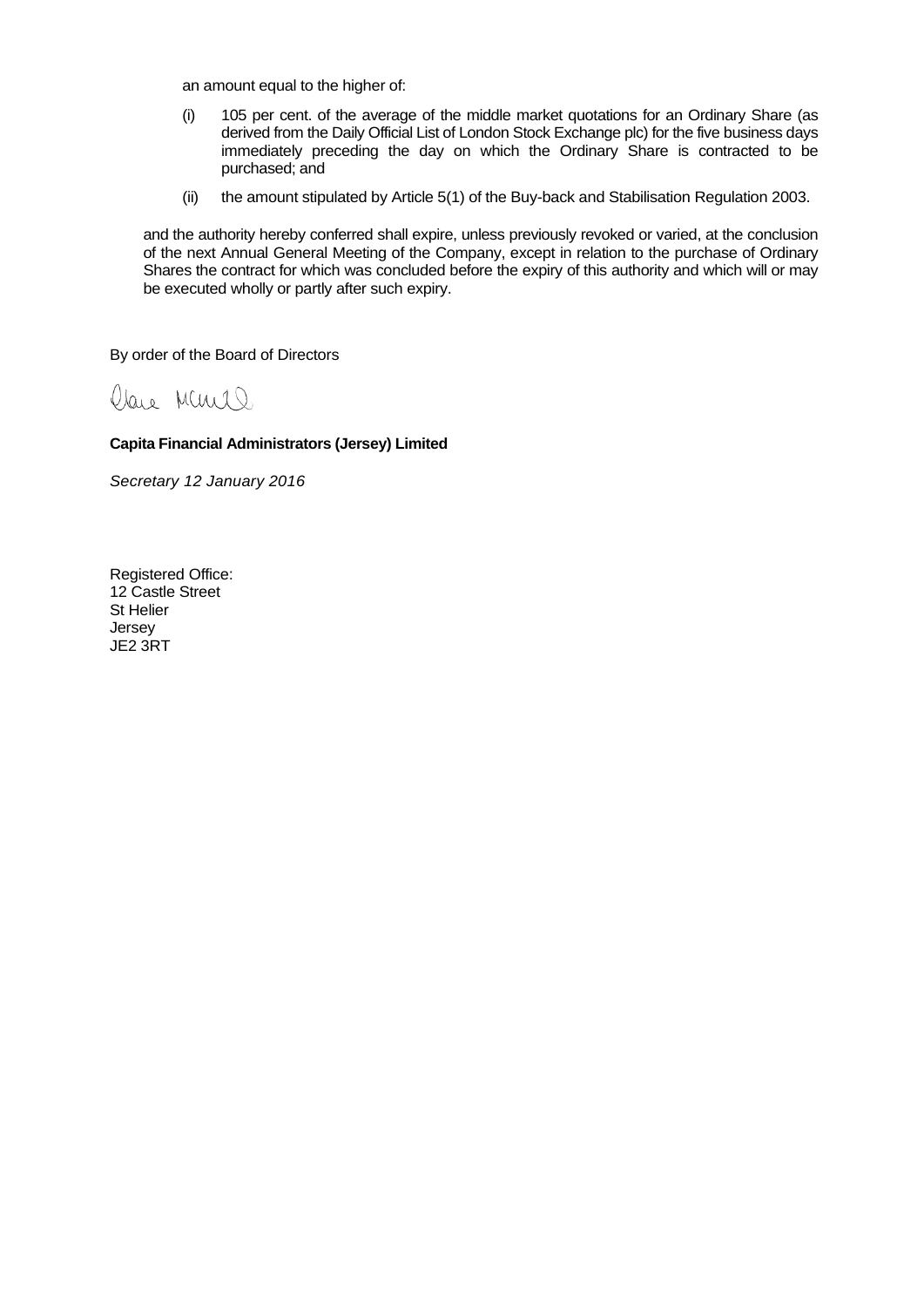an amount equal to the higher of:

- (i) 105 per cent. of the average of the middle market quotations for an Ordinary Share (as derived from the Daily Official List of London Stock Exchange plc) for the five business days immediately preceding the day on which the Ordinary Share is contracted to be purchased; and
- (ii) the amount stipulated by Article 5(1) of the Buy-back and Stabilisation Regulation 2003.

and the authority hereby conferred shall expire, unless previously revoked or varied, at the conclusion of the next Annual General Meeting of the Company, except in relation to the purchase of Ordinary Shares the contract for which was concluded before the expiry of this authority and which will or may be executed wholly or partly after such expiry.

By order of the Board of Directors

Clare Muril)

# **Capita Financial Administrators (Jersey) Limited**

*Secretary 12 January 2016*

Registered Office: 12 Castle Street St Helier Jersey JE2 3RT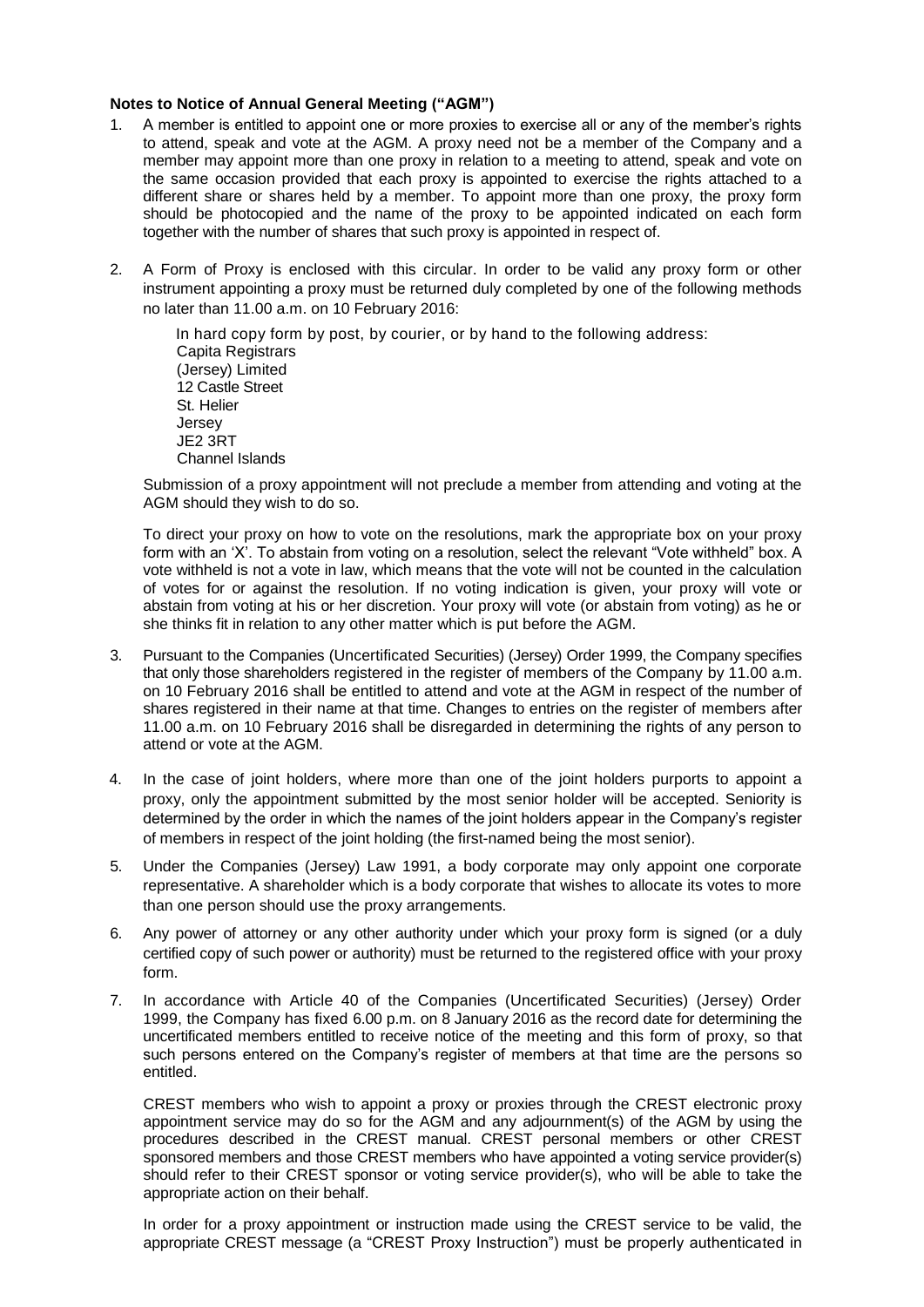# **Notes to Notice of Annual General Meeting ("AGM")**

- 1. A member is entitled to appoint one or more proxies to exercise all or any of the member's rights to attend, speak and vote at the AGM. A proxy need not be a member of the Company and a member may appoint more than one proxy in relation to a meeting to attend, speak and vote on the same occasion provided that each proxy is appointed to exercise the rights attached to a different share or shares held by a member. To appoint more than one proxy, the proxy form should be photocopied and the name of the proxy to be appointed indicated on each form together with the number of shares that such proxy is appointed in respect of.
- 2. A Form of Proxy is enclosed with this circular. In order to be valid any proxy form or other instrument appointing a proxy must be returned duly completed by one of the following methods no later than 11.00 a.m. on 10 February 2016:

In hard copy form by post, by courier, or by hand to the following address: Capita Registrars (Jersey) Limited 12 Castle Street St. Helier Jersey JE2 3RT Channel Islands

Submission of a proxy appointment will not preclude a member from attending and voting at the AGM should they wish to do so.

To direct your proxy on how to vote on the resolutions, mark the appropriate box on your proxy form with an 'X'. To abstain from voting on a resolution, select the relevant "Vote withheld" box. A vote withheld is not a vote in law, which means that the vote will not be counted in the calculation of votes for or against the resolution. If no voting indication is given, your proxy will vote or abstain from voting at his or her discretion. Your proxy will vote (or abstain from voting) as he or she thinks fit in relation to any other matter which is put before the AGM.

- 3. Pursuant to the Companies (Uncertificated Securities) (Jersey) Order 1999, the Company specifies that only those shareholders registered in the register of members of the Company by 11.00 a.m. on 10 February 2016 shall be entitled to attend and vote at the AGM in respect of the number of shares registered in their name at that time. Changes to entries on the register of members after 11.00 a.m. on 10 February 2016 shall be disregarded in determining the rights of any person to attend or vote at the AGM.
- 4. In the case of joint holders, where more than one of the joint holders purports to appoint a proxy, only the appointment submitted by the most senior holder will be accepted. Seniority is determined by the order in which the names of the joint holders appear in the Company's register of members in respect of the joint holding (the first-named being the most senior).
- 5. Under the Companies (Jersey) Law 1991, a body corporate may only appoint one corporate representative. A shareholder which is a body corporate that wishes to allocate its votes to more than one person should use the proxy arrangements.
- 6. Any power of attorney or any other authority under which your proxy form is signed (or a duly certified copy of such power or authority) must be returned to the registered office with your proxy form.
- 7. In accordance with Article 40 of the Companies (Uncertificated Securities) (Jersey) Order 1999, the Company has fixed 6.00 p.m. on 8 January 2016 as the record date for determining the uncertificated members entitled to receive notice of the meeting and this form of proxy, so that such persons entered on the Company's register of members at that time are the persons so entitled.

CREST members who wish to appoint a proxy or proxies through the CREST electronic proxy appointment service may do so for the AGM and any adjournment(s) of the AGM by using the procedures described in the CREST manual. CREST personal members or other CREST sponsored members and those CREST members who have appointed a voting service provider(s) should refer to their CREST sponsor or voting service provider(s), who will be able to take the appropriate action on their behalf.

In order for a proxy appointment or instruction made using the CREST service to be valid, the appropriate CREST message (a "CREST Proxy Instruction") must be properly authenticated in